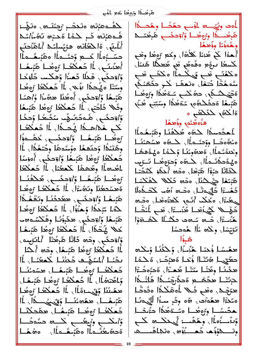هُرِهُدِهُا وَرُوهُا هُوَ اوْبِي

لْمُقْــه\$ِلْتُه ەلْـْدْــز رُجْنْلْــْه . ەلْكُــز فُـهِ مَبْرُتُهُ ضَـهِ لَـمُـهُ لَهُ مَحْـبَرْهُ شَاءُ مُنْكُلُّـهُ ٱلْمَنِّي. ةالحْعَانَه فَوُبُسائَـه ٱلمْتَحَبّ حمَّـــرُّه أَلَّـــم وَحَــّــه أَلَّــه مَّرَحَـــه أَلَّـــه أُهْبَنَــ ـ أَا حَملُهُــا وَوهُــا هَبَـمُــا وَۗاوْحِكُمْ. قَجْلًا ضَعَبُّا وَقَكْسَ خَاوَجُنَا مِمَّتْلَا هَ هُڪُلُّ اوْجِدِ. لَمَا كَمَحْكُمُ رَوهُـا هَّبُـِـهَا وَّاوْحِكُـبٍ. أُهمَٰنَا هِمَّـٰٓا وُاهِـُـا وِثَلا دَّاحُتٖ . لَمْ كَمكْعُا رُومُا هَبُـمُا وُۗاوْحِكَبِ . هُـٰهِخَرْتُنهُـٰب مُنْخَبِعُـا وَحِخُـا كُم هَلاءِ هُلْ فُحِيدًا. لَمْا خَمْكَعُمَا رُوهُــا هَبُـمُــا ۚ وَٱوۡحَمَـــوٖ. كُـهُــووُا وهَتْنُدًا وَحِنَعِهُا هُوُمْدَهُا وِحُتِهُدًا. لَمَا كَعِنْكُمْ رُومُا هُبُنُغَا وَإِرْحَكَى أُومِنُا لمُعْبِدِهِ أَلْ وَهُدِهِ مُلْ كَلْعِظْنَا ﴾. لَمْ كَلْحَكْلَا رُوهُــا هَبُـمُــا وَاوْجِدُـــى. هَٰـٰذَهُـُــا هُهنَدهُنَا وِنَهُ تَزَا. لَمَا كَـهكَـهَـٰا رَوهُـا هَّبُـمُـا وَُۙاوَحِكَبٍ. مِمِكَحِصُـٰا وِنَـقَـمُـدَّا لِكُمَا مُبْحَدًا وَحَذَوْاً. لَمَا كَعَكْفًا وَهُدَا هَّزَمُّا وَّاوْحِكَى مِحْجُوْسًا وِقُكْسُوهِب كَمْلاً يُخَمَّا. لَمْا حُمْكَعُا رُومُا هَبُسُمَا وَّ/وْحِكُم . وِحْرَه ۖ مَّاتْلَ هَٰٓ مِّعْتْلَ ۗ ٱلْمَرِّجِيم . لَمَا حَمَكْتُدَا رَوِيْدَا هَبُعْدَا. وَدْرَه أَكْمَلَ ىخَسَّا ٱلمَعْجَــِ وَحَسَّا خَمْعَيْا. لَمَا كَعِنْكُمْ لِمَ وَهُدَا هَزَيْهُمْ لِمَعْدِمِنُكُمْ وَٰٓاهٗتهُ أَلْ ـٰ أَلْہُ حُمِّكُمُّا وَوِهُا هَٰٓءَمُّا۔ هِهَمَنُنَا وَفَيُحِيدَةَ أَلْمِ الْمَعْكَمَةِ لَا وَهُمَا هُبُمُـــاً. هِمُعْمِنْــا وَقِيْ حُمَّا. لَمَّا كَعِنْكُمْ رُومُهُ مُبْعُمًا. مِمَّحِكْسًا وَٱسْلَبِ وِرُبِعَيْبِ كَبِ هِ حِشَهْصًا كَحْمَّمْشُـْمَلَّا مِكْبُـِمُـْـمَلَّا. مَاهُـمُــا

لمأدف ونجيده لمؤسم حككنا وكهنكا هُرِهُـــدًا وَوَهُـــا وَاوْحِكَـــو هُرِهُــُــد وهُدَوُمُا وؤُههُا أحمهُ! كُمَّ هُنْئًا كَلَاهُ!. وِكُمْ رُوهُا وِهْمٍ كْسِعْا بِوَّە وَقَوْمَ فِي هُعِيْلًا هَيْدًا. ہ کمفک شب فی محمد کا ہ ککے شب مُدَهْنًا دَّتَهَا. وتَعَفَّزَ كُلِّ دَكْتَمْنَكُمْ ةَتَهْكُمُ . دەْكْب سِّةْهُمَّا وَوَهُـا هَّبُـمُا هَحثَكُـرُهُ٥ سِّقَهُمُّا وِسَّبِّنِـ هُــَٰٓوَ ةالمكترى لمتكلفكم \* فأوقُدُه ووُهمُا أهدُه سِدًا لِحْمَى هَٰكِفُنَا وِهَبُعُهَا أَ ەنەۋەكسا وۆكئىمال. كىيۇە ھىئىھئىلىل وتعفُشُماًا. هَعفونُنَا وَحِدْهَا مِهْقَعِصًا ەلمەًدەللَّــەمال. كـــەە وَحرِّەھُـــا سُــرَىب لِكَمَاتَا حَزَوْا هُرْهَا. وَدُو أَحكُو كَنْحَدَا هُزِعُمْا حَيْحِمْلَ. هِ دَهِ كَحْلا حَفَّدْسَا كَمُتْرَا كَلَىٰ مِنْكَ وَدْ مِنْ مَنْ كَتَحَدُّهِ الْمَنْ حِمَّتْ الْمَوْتَعَطَّ أَنَّمَ كَلَمْتَ وَصَلَّاتٍ مِنْ مَكْتَبَةٍ مِنْ مَسْتَمْرِ كَهْكُ كَتْيَاْهْـا هُنَّــٰٓٓا فِ هُبَــُّ لَّـُنْـَـا هَّزْسَتْزَا. دْ- مْ- مْ- مْكْتْسْلَا حْمْ- قْوْا ئۇتېشا. وڭلاھ ئال ھەدىئا همَّسُل وُحِبُل هَزْسُرًا. وَحَقَّبُل وَحَكَّده حعَّتِي الصَّلَا وُتَمَا وَمَحَمَّدَ. وَكَمَا هدًىئُــا وهُتُــا مَتْــا هُـمـْـزَا. هُڪْوَحُـــْرَا حرَبُنْــا محَمْـــم هَحكَرجْــُــدًا فَاتُــدًا هرُضْهَ. ەھُم ئُــلا لْمُقَكْدُا ەثُەتْـا هَكْتْرَا هِمُهْآمَ. 6ه وِكْرِ مِمْرًا لَلْهُهِ الْمَا حكَسُــا وِرُوهُــا مَـْــةهُدًا حَتَّىــَـا وَبِدَّسَنَّهِ أَل وَهَقَسة لَي حِكْسِهِ كَمِبَع وِتَسْمَؤُوَّهَا خَمْسَةُوْرَى وَتَجْلَقَيْسَتْنَ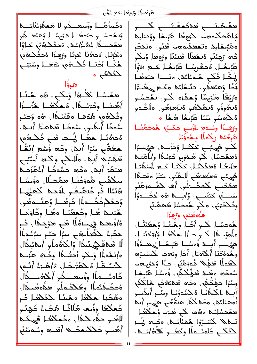هُرِهُدِهُا وَرُوهُا هُو الْمُو

ەكساھُــا وۆمىعـــىمْر لَا ھَـمكَوْسُلَّـَـــى وُلِمُحَسُّــوا حَنَّەهُـــا فَوُبِسُــا وُهنُعْـــدُو همُحسِمًا ۦاهُـزُاْسُـدْ. هُحثُـدْهُهُم مُّـارَّا ەڭزْنا. ەَحەمُلا تْدِيْا وِرِّصَرَا ەَحشَّلْمُوم هُنَّْا أَحْسًا فُكْـ هُ٥٧ غُفْقًا وِمُبَّنِّـ لمُلْكُمْ \* همُسُــا كْلُــهُا وُلِـكَــى. هُء هُسُـا أَهْبِيُا وَدْتِيْكُمْلْ. هُ هَكْمُكُمْ هَٰٓنُوَيْرَا وثَلاةُه، هُدَفَـا هفْتَـٰدًا. ۞ه وُحبُ مُدَدًا أَنكُسٍ. مُدَدًا مُدَدَأَ أَنـدَ. ەَدەُنُـا ھھُـا کُــد ھَــم ثُـكـھُەر حعُثَهُم مُبْلِ أَلم. وِدْه وُسْعِ إِنْغُـلِ تَعَدَّمَ: ﴿ أَرِهِ. وَلَأَسْلَمِ وَكَمَدُوا أَسْتَبْبَ همّكَ; أَبِم. ودُه حَسُّوحًا ٱلمَّزْحِــٰه سكْفَبِ هُودُنُـا محمَّدـُلا. وزُـسُـا هَنَنَاا دَ ٖ دَاهَىفُــرٖ ۦلزَّحــد ۦكَـمَـٰيُ ۖ ا وَحِكَـٰاجِحُـُـُــٰء)َا خُـٰٕٓمُــٰـا وَحِنُــٰـءمُدِ. هَتِيهِ هُـا وِجُعِعَيْهِ وَهُدَا وِجَافِيْهِا هُ/وُحِند فيُماهُمُّا هُم محَيْجُدًا. كُم حَجَّا كَلَاقِلُمْوَمْ مِبْرًا حِتَّرٍ مِبْتُومًا لَّا مْدَفَكِيسُدًا وَاحْدَّەملُر ٱحصُدًا. ەإِنْغُماْ! وُلْكُو آَحِنُنْكَا! وِحُـْ۞ هَزَىـٰهَا لأَسْتَقْلُ هَلِكَتُبِشَلُ. ةَاهَّـزَا أَنَّـه حُاهشُــه اُل ووْسعنـــدُر أَكْدُمَـــدُاً. ەَحكَىمُتَمَاْل وِهُكْتُـماُـر ھِـݣُەھُــكَال. وهَدَٰ:ا هكْعُا وهَيْا لِلْكُلْعُا دَرِ كَمْكْمُلْ وزُحِفْ هَٰلَلْتْنَا هَدَٰۂا كَمْتُتِ لْلْهُــو حَدُّه حَــدًا. وَحَـعَـحْمَـٰا فَـهِيحَـٰهَ أهُمس تَمْكُمْهُمْ أَهْدِهِ وِشَمْمَهُ ھقَىقَىنَــــم قىلقىنىـــم كُــــــو وَلمَحَكَّده حَكَّمَ مَنْ الْمُؤْمَرِ وَالْحَمَلَ وَأَحْتَلِهِمْ ەھْبُىغايە ەتىھىگىەھە ھْسُو. ەتىنگو دْه رْجِئْنُو ەْنْھُمْلَا مْنْتْنَا وْرُوهُا وْنْكُو هُبُمُا. هُدَهُومُا هُبُمُا كَدِمَ اهُوَّا لْمُخْا ثَكُمْ هُـٰهَٰلُكُمْ. هِنْسْبَرْا حَمُّهِ مُا أَتُمْ وَعَاهِمْ مِنْهُمْ، حَمَّمُكُمْ مِنْهَامَةٍ مِنْ مِنْدَامَةٍ ەرْيْقْدا ەئۇيشا ۋىمھەھ كىلى. ئىقتىس ەُىھُوۈُر ەُىڭىلگىر ەْئەدەھُر. ەللْكُـەر ەڭدەمئىر مىنا ھۇمگا ھىگا ھ ورُهِــُزُا وِنُــومِ لِمُؤْسِــ حَـْـُى هُـُحِمُنُــا ||هُرِهُمُمْ رَبُّدُهُ أَلا وَجُدَوْمُا كُمْ هَيْ مِنْ حَكْمًا وَجَمْعًا. هِيَمْءُا ەَھكَحسًا. كُبْر هُـتەْوِّى خَـتِنُـدًا والمُقَسَـد هزَعْما هَهكَشا. تمتشا حُـم لمُتمُنا هُيِّبَمِ هَمْزَمْزِهُمِ لَلْمُنُنِّ. مَثَلَ مِمْتَكَلِّ ھھَتَىـــع كَھڪَـــزلُمِ. أُف كَفُـــدوَهُبُر مُمَسِّتُهِ كَتْتُفَّـــنِ وَٱلْمِسْــدَ هُ٥ كُخَّـــوواً وِثَلاْتَـٰٓئٖ ۽ هُلُو هُـُوحسُل هُـٰوهمَّـٰلُ ۖ فأوهُثُم ورُقِزًا هُوجِسُا كُنْبِ أَجْنَا وِهُسُا وَجَعَفْتُنَا. ەلُەوَّــدًا كُــر حــزًا ھكھُــا وَ/وْكْسُــا. هيَّ في السُّمَّ أَسْمَا جَيْمًا إِلَى الْمَرْجَعَةِ مِنْ الْمَرْجَعَةِ وَالْمَرْبَعَةِ وَالْمَرْبَع وهُدهُقْلا أَكْتَوْمَا. أَكْر ومُهجد كَكْسُبْرُهِ لْكَلَّمَانَ الْمَوْلَاتَ فُوهَنِّي. حَزًّا وَجَوَيْ وَمَا مْئەدە ەھْىم قْدْيُكْكُر. ۋْەسُا ھَرِّىمْا وِسُرًا حَدُّثُكُلِ. هِدْهِ شَدْءُتُهُكُلُّ هَا تُكُلُّلُ أبله لمكْمُنْا هَكْتُوْسًا وِسَّرِ أَيْكُسِرِ أُهِ مِنْكُمْ. وَحُمْكُمُّا مِتَقَّعُمٍ هِيَمِ أَبِمَّا ھكىملگا ەھَت كى ھُن وَحكھُل َكْثَكَبِ خَاهَشُـهِـلًا وِكَعُـــوِ كَلَاهُ/سُــكِ.